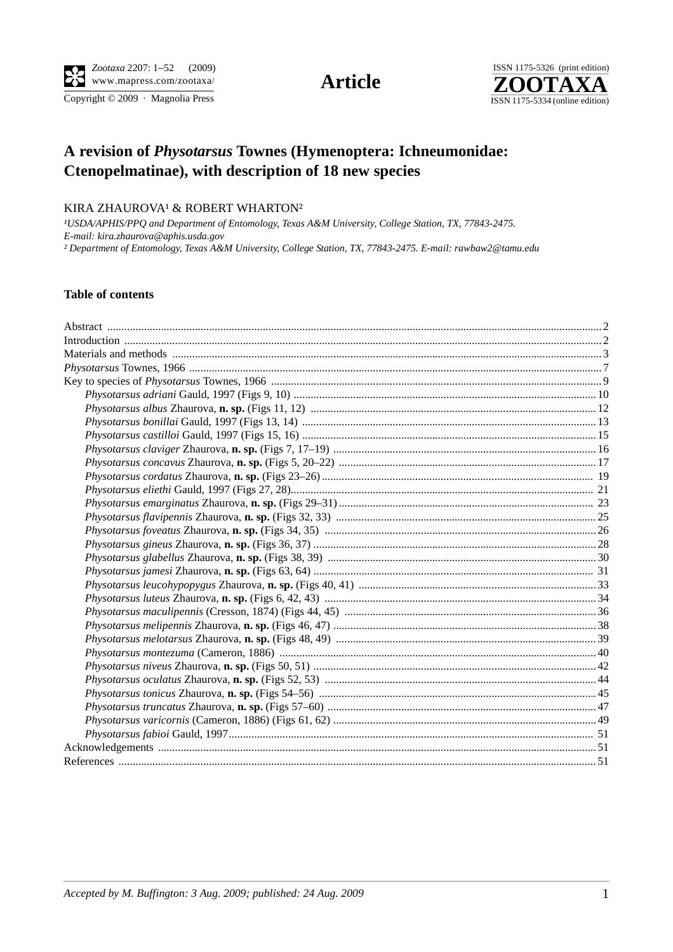Copyright  $\odot$  2009 · Magnolia Press



# **A revision of** *Physotarsus* **Townes (Hymenoptera: Ichneumonidae: Ctenopelmatinae), with description of 18 new species**

## KIRA ZHAUROVA<sup>1</sup> & ROBERT WHARTON<sup>2</sup>

*¹USDA/APHIS/PPQ and Department of Entomology, Texas A&M University, College Station, TX, 77843-2475. E-mail: kira.zhaurova@aphis.usda.gov ² Department of Entomology, Texas A&M University, College Station, TX, 77843-2475. E-mail: rawbaw2@tamu.edu*

## **Table of contents**